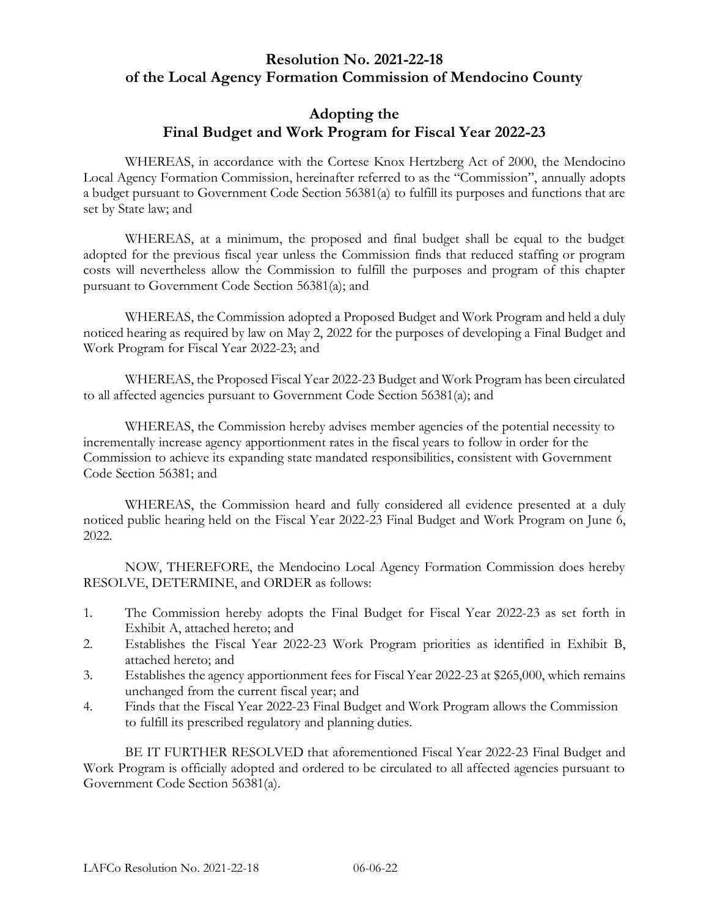#### **Resolution No. 2021-22-18 of the Local Agency Formation Commission of Mendocino County**

#### **Adopting the Final Budget and Work Program for Fiscal Year 2022-23**

WHEREAS, in accordance with the Cortese Knox Hertzberg Act of 2000, the Mendocino Local Agency Formation Commission, hereinafter referred to as the "Commission", annually adopts a budget pursuant to Government Code Section 56381(a) to fulfill its purposes and functions that are set by State law; and

WHEREAS, at a minimum, the proposed and final budget shall be equal to the budget adopted for the previous fiscal year unless the Commission finds that reduced staffing or program costs will nevertheless allow the Commission to fulfill the purposes and program of this chapter pursuant to Government Code Section 56381(a); and

WHEREAS, the Commission adopted a Proposed Budget and Work Program and held a duly noticed hearing as required by law on May 2, 2022 for the purposes of developing a Final Budget and Work Program for Fiscal Year 2022-23; and

WHEREAS, the Proposed Fiscal Year 2022-23 Budget and Work Program has been circulated to all affected agencies pursuant to Government Code Section 56381(a); and

WHEREAS, the Commission hereby advises member agencies of the potential necessity to incrementally increase agency apportionment rates in the fiscal years to follow in order for the Commission to achieve its expanding state mandated responsibilities, consistent with Government Code Section 56381; and

WHEREAS, the Commission heard and fully considered all evidence presented at a duly noticed public hearing held on the Fiscal Year 2022-23 Final Budget and Work Program on June 6, 2022.

NOW, THEREFORE, the Mendocino Local Agency Formation Commission does hereby RESOLVE, DETERMINE, and ORDER as follows:

- 1. The Commission hereby adopts the Final Budget for Fiscal Year 2022-23 as set forth in Exhibit A, attached hereto; and
- 2. Establishes the Fiscal Year 2022-23 Work Program priorities as identified in Exhibit B, attached hereto; and
- 3. Establishes the agency apportionment fees for Fiscal Year 2022-23 at \$265,000, which remains unchanged from the current fiscal year; and
- 4. Finds that the Fiscal Year 2022-23 Final Budget and Work Program allows the Commission to fulfill its prescribed regulatory and planning duties.

BE IT FURTHER RESOLVED that aforementioned Fiscal Year 2022-23 Final Budget and Work Program is officially adopted and ordered to be circulated to all affected agencies pursuant to Government Code Section 56381(a).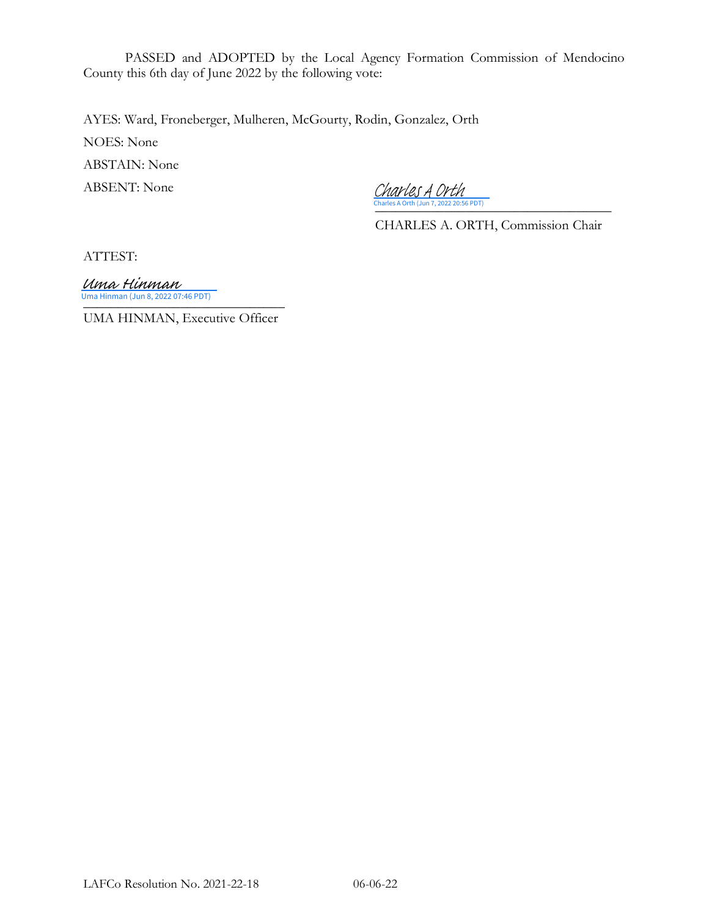PASSED and ADOPTED by the Local Agency Formation Commission of Mendocino County this 6th day of June 2022 by the following vote:

AYES: Ward, Froneberger, Mulheren, McGourty, Rodin, Gonzalez, Orth

NOES: None

ABSTAIN: None

ABSENT: None

[\\_\\_\\_\\_\\_\\_\\_\\_\\_\\_\\_\\_\\_\\_\\_\\_\\_\\_\\_\\_\\_\\_\\_\\_\\_\\_\\_\\_\\_\\_\\_\\_\\_\\_](https://na4.documents.adobe.com/verifier?tx=CBJCHBCAABAAm8h3xmctQkBXF40q_lI2tmZFY0ADhuqN) Charles A Orth (Jun 7, 2022 20:56 PDT) Charles A Orth

CHARLES A. ORTH, Commission Chair

ATTEST:

Uma Hinman (Jun 8, 2022 07:46 PDT)<br>———————————————————— Uma Hinman

UMA HINMAN, Executive Officer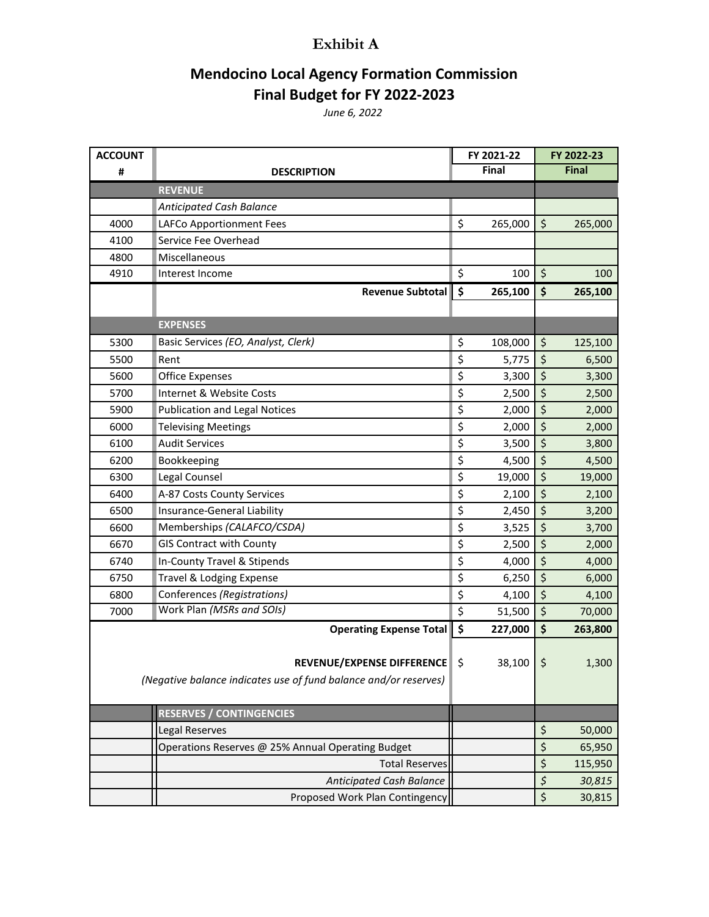#### **Exhibit A**

### **Mendocino Local Agency Formation Commission Final Budget for FY 2022-2023**

*June 6, 2022*

| <b>ACCOUNT</b> |                                                                  | FY 2021-22          |             | FY 2022-23                     |         |
|----------------|------------------------------------------------------------------|---------------------|-------------|--------------------------------|---------|
| #              | <b>DESCRIPTION</b>                                               | Final               |             | <b>Final</b>                   |         |
|                | <b>REVENUE</b>                                                   |                     |             |                                |         |
|                | Anticipated Cash Balance                                         |                     |             |                                |         |
| 4000           | LAFCo Apportionment Fees                                         | \$                  | 265,000     | \$                             | 265,000 |
| 4100           | Service Fee Overhead                                             |                     |             |                                |         |
| 4800           | Miscellaneous                                                    |                     |             |                                |         |
| 4910           | Interest Income                                                  | \$                  | 100         | \$                             | 100     |
|                | Revenue Subtotal                                                 | $\ddot{\bm{\zeta}}$ | 265,100     | \$                             | 265,100 |
|                |                                                                  |                     |             |                                |         |
|                | <b>EXPENSES</b>                                                  |                     |             |                                |         |
| 5300           | Basic Services (EO, Analyst, Clerk)                              | \$                  | 108,000     | \$                             | 125,100 |
| 5500           | Rent                                                             | \$                  | 5,775       | \$                             | 6,500   |
| 5600           | <b>Office Expenses</b>                                           | \$                  | 3,300       | \$                             | 3,300   |
| 5700           | Internet & Website Costs                                         | \$                  | 2,500       | \$                             | 2,500   |
| 5900           | <b>Publication and Legal Notices</b>                             | \$                  | 2,000       | \$                             | 2,000   |
| 6000           | <b>Televising Meetings</b>                                       | \$                  | 2,000       | \$                             | 2,000   |
| 6100           | <b>Audit Services</b>                                            | \$                  | 3,500       | \$                             | 3,800   |
| 6200           | Bookkeeping                                                      | \$                  | 4,500       | \$                             | 4,500   |
| 6300           | Legal Counsel                                                    | \$                  | 19,000      | \$                             | 19,000  |
| 6400           | A-87 Costs County Services                                       | \$                  | 2,100       | \$                             | 2,100   |
| 6500           | Insurance-General Liability                                      | \$                  | 2,450       | \$                             | 3,200   |
| 6600           | Memberships (CALAFCO/CSDA)                                       | \$                  | 3,525       | \$                             | 3,700   |
| 6670           | <b>GIS Contract with County</b>                                  | \$                  | 2,500       | \$                             | 2,000   |
| 6740           | In-County Travel & Stipends                                      | \$                  | 4,000       | \$                             | 4,000   |
| 6750           | Travel & Lodging Expense                                         | \$                  | 6,250       | \$                             | 6,000   |
| 6800           | Conferences (Registrations)                                      | \$                  | 4,100       | $\boldsymbol{\dot{\varsigma}}$ | 4,100   |
| 7000           | Work Plan (MSRs and SOIs)                                        | \$                  | 51,500      | \$                             | 70,000  |
|                | <b>Operating Expense Total</b>                                   | \$                  | 227,000     | \$                             | 263,800 |
|                |                                                                  |                     |             |                                |         |
|                | REVENUE/EXPENSE DIFFERENCE \$                                    |                     | $38,100$ \$ |                                | 1,300   |
|                | (Negative balance indicates use of fund balance and/or reserves) |                     |             |                                |         |
|                |                                                                  |                     |             |                                |         |
|                | <b>RESERVES / CONTINGENCIES</b>                                  |                     |             |                                |         |
|                | Legal Reserves                                                   |                     |             | \$                             | 50,000  |
|                | Operations Reserves @ 25% Annual Operating Budget                |                     |             | \$                             | 65,950  |
|                | <b>Total Reserves</b>                                            |                     |             | \$                             | 115,950 |
|                | Anticipated Cash Balance                                         |                     |             | $\boldsymbol{\zeta}$           | 30,815  |
|                | Proposed Work Plan Contingency                                   |                     |             | \$                             | 30,815  |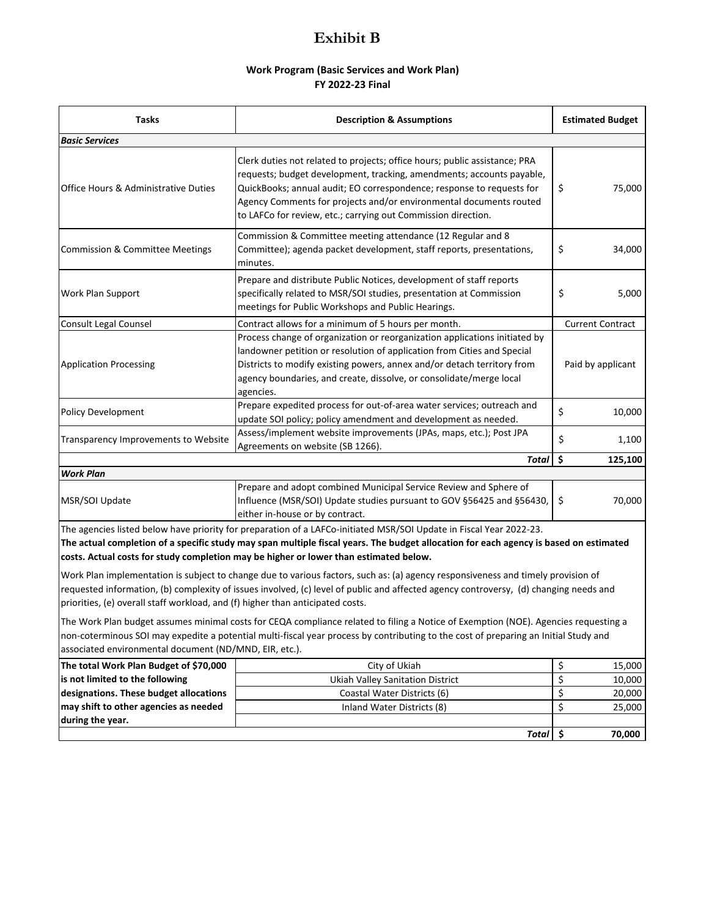#### **Exhibit B**

#### **Work Program (Basic Services and Work Plan) FY 2022-23 Final**

| <b>Tasks</b>                                                                                                                                                                                                                                                                                                                                          | <b>Description &amp; Assumptions</b>                                                                                                                                                                                                                                                                                                                                | <b>Estimated Budget</b> |  |
|-------------------------------------------------------------------------------------------------------------------------------------------------------------------------------------------------------------------------------------------------------------------------------------------------------------------------------------------------------|---------------------------------------------------------------------------------------------------------------------------------------------------------------------------------------------------------------------------------------------------------------------------------------------------------------------------------------------------------------------|-------------------------|--|
| <b>Basic Services</b>                                                                                                                                                                                                                                                                                                                                 |                                                                                                                                                                                                                                                                                                                                                                     |                         |  |
| <b>Office Hours &amp; Administrative Duties</b>                                                                                                                                                                                                                                                                                                       | Clerk duties not related to projects; office hours; public assistance; PRA<br>requests; budget development, tracking, amendments; accounts payable,<br>QuickBooks; annual audit; EO correspondence; response to requests for<br>Agency Comments for projects and/or environmental documents routed<br>to LAFCo for review, etc.; carrying out Commission direction. | \$<br>75,000            |  |
| Commission & Committee meeting attendance (12 Regular and 8<br>Committee); agenda packet development, staff reports, presentations,<br><b>Commission &amp; Committee Meetings</b><br>minutes.                                                                                                                                                         |                                                                                                                                                                                                                                                                                                                                                                     | \$<br>34,000            |  |
| Work Plan Support                                                                                                                                                                                                                                                                                                                                     | Prepare and distribute Public Notices, development of staff reports<br>specifically related to MSR/SOI studies, presentation at Commission<br>meetings for Public Workshops and Public Hearings.                                                                                                                                                                    |                         |  |
| <b>Consult Legal Counsel</b>                                                                                                                                                                                                                                                                                                                          | Contract allows for a minimum of 5 hours per month.                                                                                                                                                                                                                                                                                                                 | <b>Current Contract</b> |  |
| Process change of organization or reorganization applications initiated by<br>landowner petition or resolution of application from Cities and Special<br>Districts to modify existing powers, annex and/or detach territory from<br><b>Application Processing</b><br>agency boundaries, and create, dissolve, or consolidate/merge local<br>agencies. |                                                                                                                                                                                                                                                                                                                                                                     | Paid by applicant       |  |
| <b>Policy Development</b>                                                                                                                                                                                                                                                                                                                             | Prepare expedited process for out-of-area water services; outreach and<br>update SOI policy; policy amendment and development as needed.                                                                                                                                                                                                                            |                         |  |
| Transparency Improvements to Website                                                                                                                                                                                                                                                                                                                  | Assess/implement website improvements (JPAs, maps, etc.); Post JPA<br>Agreements on website (SB 1266).                                                                                                                                                                                                                                                              | \$<br>1,100             |  |
|                                                                                                                                                                                                                                                                                                                                                       | <b>Total</b>                                                                                                                                                                                                                                                                                                                                                        | \$<br>125,100           |  |
| <b>Work Plan</b>                                                                                                                                                                                                                                                                                                                                      |                                                                                                                                                                                                                                                                                                                                                                     |                         |  |
| MSR/SOI Update                                                                                                                                                                                                                                                                                                                                        | Prepare and adopt combined Municipal Service Review and Sphere of<br>Influence (MSR/SOI) Update studies pursuant to GOV §56425 and §56430,<br>either in-house or by contract.                                                                                                                                                                                       | \$<br>70,000            |  |

The agencies listed below have priority for preparation of a LAFCo-initiated MSR/SOI Update in Fiscal Year 2022-23. **The actual completion of a specific study may span multiple fiscal years. The budget allocation for each agency is based on estimated costs. Actual costs for study completion may be higher or lower than estimated below.**

Work Plan implementation is subject to change due to various factors, such as: (a) agency responsiveness and timely provision of requested information, (b) complexity of issues involved, (c) level of public and affected agency controversy, (d) changing needs and priorities, (e) overall staff workload, and (f) higher than anticipated costs.

The Work Plan budget assumes minimal costs for CEQA compliance related to filing a Notice of Exemption (NOE). Agencies requesting a non-coterminous SOI may expedite a potential multi-fiscal year process by contributing to the cost of preparing an Initial Study and associated environmental document (ND/MND, EIR, etc.).

| The total Work Plan Budget of \$70,000 | City of Ukiah                    | 15,000 |
|----------------------------------------|----------------------------------|--------|
| is not limited to the following        | Ukiah Valley Sanitation District | 10,000 |
| designations. These budget allocations | Coastal Water Districts (6)      | 20,000 |
| may shift to other agencies as needed  | Inland Water Districts (8)       | 25,000 |
| during the year.                       |                                  |        |
|                                        | Total                            | 70,000 |